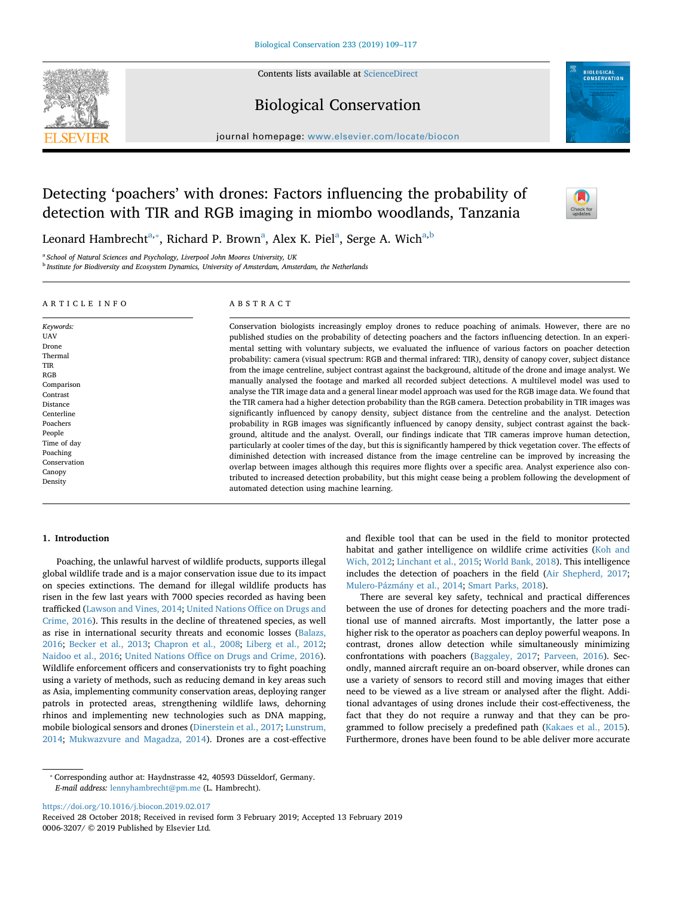

Contents lists available at [ScienceDirect](http://www.sciencedirect.com/science/journal/00063207)

# Biological Conservation



journal homepage: [www.elsevier.com/locate/biocon](https://www.elsevier.com/locate/biocon)

# Detecting 'poachers' with drones: Factors influencing the probability of detection with TIR and RGB imaging in miombo woodlands, Tanzania



Leon[a](#page-0-0)rd Ham[b](#page-0-2)recht $^{\mathrm{a},*}$ , Richard P. Brown $^{\mathrm{a}}$ , Alex K. Piel $^{\mathrm{a}}$ , Serge A. Wich $^{\mathrm{a},\mathrm{b}}$ 

<span id="page-0-0"></span><sup>a</sup> *School of Natural Sciences and Psychology, Liverpool John Moores University, UK*

<span id="page-0-2"></span><sup>b</sup> *Institute for Biodiversity and Ecosystem Dynamics, University of Amsterdam, Amsterdam, the Netherlands*

## ARTICLE INFO

*Keywords:* **IJAV** Drone Thermal TIR RGB Comparison Contrast Distance Centerline Poachers People Time of day Poaching Conservation **Canopy** Density

#### ABSTRACT

Conservation biologists increasingly employ drones to reduce poaching of animals. However, there are no published studies on the probability of detecting poachers and the factors influencing detection. In an experimental setting with voluntary subjects, we evaluated the influence of various factors on poacher detection probability: camera (visual spectrum: RGB and thermal infrared: TIR), density of canopy cover, subject distance from the image centreline, subject contrast against the background, altitude of the drone and image analyst. We manually analysed the footage and marked all recorded subject detections. A multilevel model was used to analyse the TIR image data and a general linear model approach was used for the RGB image data. We found that the TIR camera had a higher detection probability than the RGB camera. Detection probability in TIR images was significantly influenced by canopy density, subject distance from the centreline and the analyst. Detection probability in RGB images was significantly influenced by canopy density, subject contrast against the background, altitude and the analyst. Overall, our findings indicate that TIR cameras improve human detection, particularly at cooler times of the day, but this is significantly hampered by thick vegetation cover. The effects of diminished detection with increased distance from the image centreline can be improved by increasing the overlap between images although this requires more flights over a specific area. Analyst experience also contributed to increased detection probability, but this might cease being a problem following the development of automated detection using machine learning.

#### **1. Introduction**

Poaching, the unlawful harvest of wildlife products, supports illegal global wildlife trade and is a major conservation issue due to its impact on species extinctions. The demand for illegal wildlife products has risen in the few last years with 7000 species recorded as having been trafficked [\(Lawson and Vines, 2014](#page-7-0); [United Nations Office on Drugs and](#page-8-0) [Crime, 2016\)](#page-8-0). This results in the decline of threatened species, as well as rise in international security threats and economic losses [\(Balazs,](#page-7-1) [2016;](#page-7-1) [Becker et al., 2013;](#page-7-2) [Chapron et al., 2008;](#page-7-3) [Liberg et al., 2012](#page-7-4); [Naidoo et al., 2016;](#page-8-1) [United Nations Office on Drugs and Crime, 2016](#page-8-0)). Wildlife enforcement officers and conservationists try to fight poaching using a variety of methods, such as reducing demand in key areas such as Asia, implementing community conservation areas, deploying ranger patrols in protected areas, strengthening wildlife laws, dehorning rhinos and implementing new technologies such as DNA mapping, mobile biological sensors and drones [\(Dinerstein et al., 2017;](#page-7-5) [Lunstrum,](#page-7-6) [2014;](#page-7-6) [Mukwazvure and Magadza, 2014\)](#page-8-2). Drones are a cost-effective

and flexible tool that can be used in the field to monitor protected habitat and gather intelligence on wildlife crime activities [\(Koh and](#page-7-7) [Wich, 2012](#page-7-7); [Linchant et al., 2015](#page-7-8); [World Bank, 2018](#page-8-3)). This intelligence includes the detection of poachers in the field ([Air Shepherd, 2017](#page-7-9); [Mulero-Pázmány et al., 2014;](#page-8-4) [Smart Parks, 2018](#page-8-5)).

There are several key safety, technical and practical differences between the use of drones for detecting poachers and the more traditional use of manned aircrafts. Most importantly, the latter pose a higher risk to the operator as poachers can deploy powerful weapons. In contrast, drones allow detection while simultaneously minimizing confrontations with poachers ([Baggaley, 2017;](#page-7-10) [Parveen, 2016](#page-8-6)). Secondly, manned aircraft require an on-board observer, while drones can use a variety of sensors to record still and moving images that either need to be viewed as a live stream or analysed after the flight. Additional advantages of using drones include their cost-effectiveness, the fact that they do not require a runway and that they can be programmed to follow precisely a predefined path [\(Kakaes et al., 2015](#page-7-11)). Furthermore, drones have been found to be able deliver more accurate

<https://doi.org/10.1016/j.biocon.2019.02.017>

Received 28 October 2018; Received in revised form 3 February 2019; Accepted 13 February 2019 0006-3207/ © 2019 Published by Elsevier Ltd.

<span id="page-0-1"></span><sup>⁎</sup> Corresponding author at: Haydnstrasse 42, 40593 Düsseldorf, Germany. *E-mail address:* [lennyhambrecht@pm.me](mailto:lennyhambrecht@pm.me) (L. Hambrecht).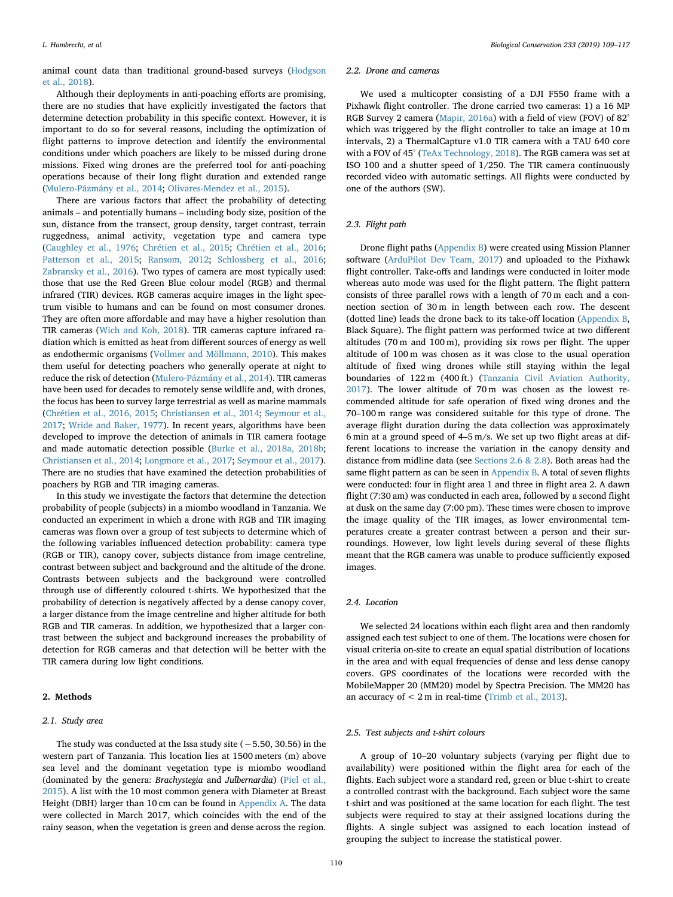animal count data than traditional ground-based surveys ([Hodgson](#page-7-12) [et al., 2018](#page-7-12)).

Although their deployments in anti-poaching efforts are promising, there are no studies that have explicitly investigated the factors that determine detection probability in this specific context. However, it is important to do so for several reasons, including the optimization of flight patterns to improve detection and identify the environmental conditions under which poachers are likely to be missed during drone missions. Fixed wing drones are the preferred tool for anti-poaching operations because of their long flight duration and extended range ([Mulero-Pázmány et al., 2014;](#page-8-4) [Olivares-Mendez et al., 2015](#page-8-7)).

There are various factors that affect the probability of detecting animals – and potentially humans – including body size, position of the sun, distance from the transect, group density, target contrast, terrain ruggedness, animal activity, vegetation type and camera type ([Caughley et al., 1976](#page-7-13); [Chrétien et al., 2015](#page-7-14); [Chrétien et al., 2016](#page-7-15); [Patterson et al., 2015](#page-8-8); [Ransom, 2012;](#page-8-9) [Schlossberg et al., 2016](#page-8-10); [Zabransky et al., 2016\)](#page-8-11). Two types of camera are most typically used: those that use the Red Green Blue colour model (RGB) and thermal infrared (TIR) devices. RGB cameras acquire images in the light spectrum visible to humans and can be found on most consumer drones. They are often more affordable and may have a higher resolution than TIR cameras [\(Wich and Koh, 2018](#page-8-12)). TIR cameras capture infrared radiation which is emitted as heat from different sources of energy as well as endothermic organisms ([Vollmer and Möllmann, 2010](#page-8-13)). This makes them useful for detecting poachers who generally operate at night to reduce the risk of detection [\(Mulero-Pázmány et al., 2014](#page-8-4)). TIR cameras have been used for decades to remotely sense wildlife and, with drones, the focus has been to survey large terrestrial as well as marine mammals ([Chrétien et al., 2016, 2015](#page-7-15); [Christiansen et al., 2014;](#page-7-16) [Seymour et al.,](#page-8-14) [2017;](#page-8-14) [Wride and Baker, 1977\)](#page-8-15). In recent years, algorithms have been developed to improve the detection of animals in TIR camera footage and made automatic detection possible [\(Burke et al., 2018a, 2018b](#page-7-17); [Christiansen et al., 2014](#page-7-16); [Longmore et al., 2017;](#page-7-18) [Seymour et al., 2017](#page-8-14)). There are no studies that have examined the detection probabilities of poachers by RGB and TIR imaging cameras.

In this study we investigate the factors that determine the detection probability of people (subjects) in a miombo woodland in Tanzania. We conducted an experiment in which a drone with RGB and TIR imaging cameras was flown over a group of test subjects to determine which of the following variables influenced detection probability: camera type (RGB or TIR), canopy cover, subjects distance from image centreline, contrast between subject and background and the altitude of the drone. Contrasts between subjects and the background were controlled through use of differently coloured t-shirts. We hypothesized that the probability of detection is negatively affected by a dense canopy cover, a larger distance from the image centreline and higher altitude for both RGB and TIR cameras. In addition, we hypothesized that a larger contrast between the subject and background increases the probability of detection for RGB cameras and that detection will be better with the TIR camera during low light conditions.

# **2. Methods**

# *2.1. Study area*

The study was conducted at the Issa study site (−5.50, 30.56) in the western part of Tanzania. This location lies at 1500 meters (m) above sea level and the dominant vegetation type is miombo woodland (dominated by the genera: *Brachystegia* and *Julbernardia*) [\(Piel et al.,](#page-8-16) [2015\)](#page-8-16). A list with the 10 most common genera with Diameter at Breast Height (DBH) larger than 10 cm can be found in [Appendix A.](#page-5-0) The data were collected in March 2017, which coincides with the end of the rainy season, when the vegetation is green and dense across the region.

#### *2.2. Drone and cameras*

We used a multicopter consisting of a DJI F550 frame with a Pixhawk flight controller. The drone carried two cameras: 1) a 16 MP RGB Survey 2 camera ([Mapir, 2016a](#page-7-19)) with a field of view (FOV) of 82° which was triggered by the flight controller to take an image at 10 m intervals, 2) a ThermalCapture v1.0 TIR camera with a TAU 640 core with a FOV of 45° [\(TeAx Technology, 2018](#page-8-17)). The RGB camera was set at ISO 100 and a shutter speed of 1/250. The TIR camera continuously recorded video with automatic settings. All flights were conducted by one of the authors (SW).

### *2.3. Flight path*

Drone flight paths ([Appendix B](#page-6-0)) were created using Mission Planner software [\(ArduPilot Dev Team, 2017\)](#page-7-20) and uploaded to the Pixhawk flight controller. Take-offs and landings were conducted in loiter mode whereas auto mode was used for the flight pattern. The flight pattern consists of three parallel rows with a length of 70 m each and a connection section of 30 m in length between each row. The descent (dotted line) leads the drone back to its take-off location [\(Appendix B](#page-6-0), Black Square). The flight pattern was performed twice at two different altitudes (70 m and 100 m), providing six rows per flight. The upper altitude of 100 m was chosen as it was close to the usual operation altitude of fixed wing drones while still staying within the legal boundaries of 122 m (400 ft.) [\(Tanzania Civil Aviation Authority,](#page-8-18) [2017\)](#page-8-18). The lower altitude of 70 m was chosen as the lowest recommended altitude for safe operation of fixed wing drones and the 70–100 m range was considered suitable for this type of drone. The average flight duration during the data collection was approximately 6 min at a ground speed of 4–5 m/s. We set up two flight areas at different locations to increase the variation in the canopy density and distance from midline data (see [Sections 2.6 & 2.8](#page-2-0)). Both areas had the same flight pattern as can be seen in [Appendix B](#page-6-0). A total of seven flights were conducted: four in flight area 1 and three in flight area 2. A dawn flight (7:30 am) was conducted in each area, followed by a second flight at dusk on the same day (7:00 pm). These times were chosen to improve the image quality of the TIR images, as lower environmental temperatures create a greater contrast between a person and their surroundings. However, low light levels during several of these flights meant that the RGB camera was unable to produce sufficiently exposed images.

# *2.4. Location*

We selected 24 locations within each flight area and then randomly assigned each test subject to one of them. The locations were chosen for visual criteria on-site to create an equal spatial distribution of locations in the area and with equal frequencies of dense and less dense canopy covers. GPS coordinates of the locations were recorded with the MobileMapper 20 (MM20) model by Spectra Precision. The MM20 has an accuracy of  $< 2m$  in real-time [\(Trimb et al., 2013](#page-8-19)).

# *2.5. Test subjects and t-shirt colours*

A group of 10–20 voluntary subjects (varying per flight due to availability) were positioned within the flight area for each of the flights. Each subject wore a standard red, green or blue t-shirt to create a controlled contrast with the background. Each subject wore the same t-shirt and was positioned at the same location for each flight. The test subjects were required to stay at their assigned locations during the flights. A single subject was assigned to each location instead of grouping the subject to increase the statistical power.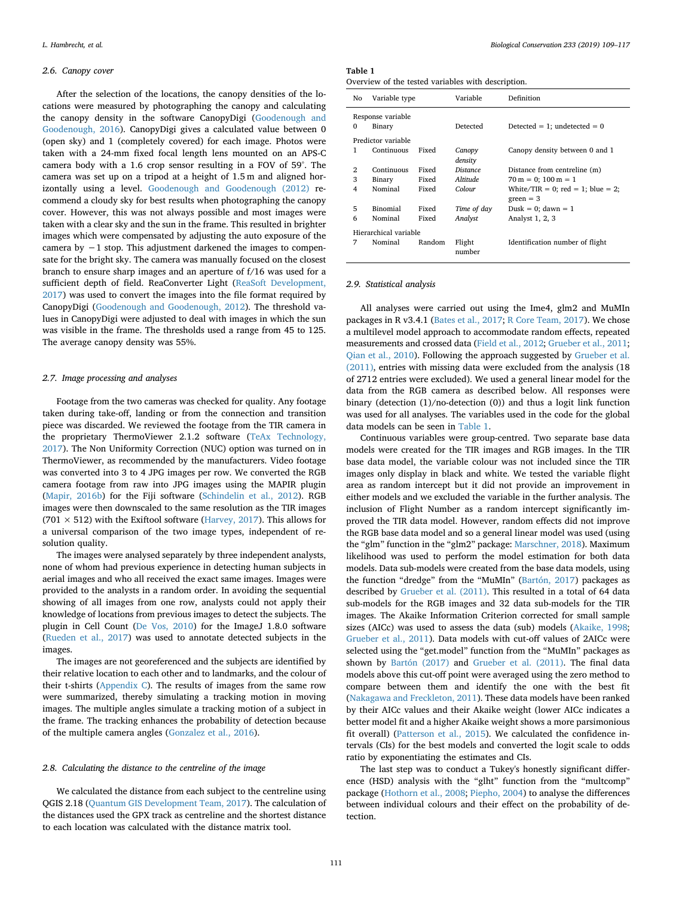## <span id="page-2-0"></span>*2.6. Canopy cover*

After the selection of the locations, the canopy densities of the locations were measured by photographing the canopy and calculating the canopy density in the software CanopyDigi ([Goodenough and](#page-7-21) [Goodenough, 2016](#page-7-21)). CanopyDigi gives a calculated value between 0 (open sky) and 1 (completely covered) for each image. Photos were taken with a 24-mm fixed focal length lens mounted on an APS-C camera body with a 1.6 crop sensor resulting in a FOV of 59°. The camera was set up on a tripod at a height of 1.5 m and aligned horizontally using a level. [Goodenough and Goodenough \(2012\)](#page-7-22) recommend a cloudy sky for best results when photographing the canopy cover. However, this was not always possible and most images were taken with a clear sky and the sun in the frame. This resulted in brighter images which were compensated by adjusting the auto exposure of the camera by −1 stop. This adjustment darkened the images to compensate for the bright sky. The camera was manually focused on the closest branch to ensure sharp images and an aperture of f/16 was used for a sufficient depth of field. ReaConverter Light ([ReaSoft Development,](#page-8-20) [2017\)](#page-8-20) was used to convert the images into the file format required by CanopyDigi ([Goodenough and Goodenough, 2012\)](#page-7-22). The threshold values in CanopyDigi were adjusted to deal with images in which the sun was visible in the frame. The thresholds used a range from 45 to 125. The average canopy density was 55%.

#### *2.7. Image processing and analyses*

Footage from the two cameras was checked for quality. Any footage taken during take-off, landing or from the connection and transition piece was discarded. We reviewed the footage from the TIR camera in the proprietary ThermoViewer 2.1.2 software [\(TeAx Technology,](#page-8-21) [2017\)](#page-8-21). The Non Uniformity Correction (NUC) option was turned on in ThermoViewer, as recommended by the manufacturers. Video footage was converted into 3 to 4 JPG images per row. We converted the RGB camera footage from raw into JPG images using the MAPIR plugin ([Mapir, 2016b](#page-7-23)) for the Fiji software [\(Schindelin et al., 2012\)](#page-8-22). RGB images were then downscaled to the same resolution as the TIR images (701  $\times$  512) with the Exiftool software [\(Harvey, 2017\)](#page-7-24). This allows for a universal comparison of the two image types, independent of resolution quality.

The images were analysed separately by three independent analysts, none of whom had previous experience in detecting human subjects in aerial images and who all received the exact same images. Images were provided to the analysts in a random order. In avoiding the sequential showing of all images from one row, analysts could not apply their knowledge of locations from previous images to detect the subjects. The plugin in Cell Count ([De Vos, 2010](#page-7-25)) for the ImageJ 1.8.0 software ([Rueden et al., 2017](#page-8-23)) was used to annotate detected subjects in the images.

The images are not georeferenced and the subjects are identified by their relative location to each other and to landmarks, and the colour of their t-shirts [\(Appendix C](#page-6-1)). The results of images from the same row were summarized, thereby simulating a tracking motion in moving images. The multiple angles simulate a tracking motion of a subject in the frame. The tracking enhances the probability of detection because of the multiple camera angles [\(Gonzalez et al., 2016\)](#page-7-26).

# *2.8. Calculating the distance to the centreline of the image*

We calculated the distance from each subject to the centreline using QGIS 2.18 ([Quantum GIS Development Team, 2017](#page-8-24)). The calculation of the distances used the GPX track as centreline and the shortest distance to each location was calculated with the distance matrix tool.

# <span id="page-2-1"></span>**Table 1**

| Overview of the tested variables with description. |  |  |
|----------------------------------------------------|--|--|
|----------------------------------------------------|--|--|

| No                    | Variable type      |        | Variable               | Definition                                       |  |  |
|-----------------------|--------------------|--------|------------------------|--------------------------------------------------|--|--|
|                       | Response variable  |        |                        |                                                  |  |  |
| 0                     | Binary             |        | Detected               | Detected = 1; undetected = $0$                   |  |  |
|                       | Predictor variable |        |                        |                                                  |  |  |
| 1                     | Continuous         | Fixed  | Canopy<br>density      | Canopy density between 0 and 1                   |  |  |
| 2                     | Continuous         | Fixed  | <b>Distance</b>        | Distance from centreline (m)                     |  |  |
| 3                     | Binary             | Fixed  | <i><b>Altitude</b></i> | $70 \text{ m} = 0$ ; $100 \text{ m} = 1$         |  |  |
| 4                     | Nominal            | Fixed  | Colour                 | White/TIR = 0; red = 1; blue = 2;<br>$green = 3$ |  |  |
| 5                     | Binomial           | Fixed  | Time of day            | Dusk = 0; dawn = $1$                             |  |  |
| 6                     | Nominal            | Fixed  | Analyst                | Analyst 1, 2, 3                                  |  |  |
| Hierarchical variable |                    |        |                        |                                                  |  |  |
| 7                     | Nominal            | Random | Flight<br>number       | Identification number of flight                  |  |  |

### *2.9. Statistical analysis*

All analyses were carried out using the Ime4, glm2 and MuMIn packages in R v3.4.1 [\(Bates et al., 2017;](#page-7-27) [R Core Team, 2017](#page-8-25)). We chose a multilevel model approach to accommodate random effects, repeated measurements and crossed data [\(Field et al., 2012](#page-7-28); [Grueber et al., 2011](#page-7-29); [Qian et al., 2010\)](#page-8-26). Following the approach suggested by [Grueber et al.](#page-7-29) [\(2011\),](#page-7-29) entries with missing data were excluded from the analysis (18 of 2712 entries were excluded). We used a general linear model for the data from the RGB camera as described below. All responses were binary (detection (1)/no-detection (0)) and thus a logit link function was used for all analyses. The variables used in the code for the global data models can be seen in [Table 1.](#page-2-1)

Continuous variables were group-centred. Two separate base data models were created for the TIR images and RGB images. In the TIR base data model, the variable colour was not included since the TIR images only display in black and white. We tested the variable flight area as random intercept but it did not provide an improvement in either models and we excluded the variable in the further analysis. The inclusion of Flight Number as a random intercept significantly improved the TIR data model. However, random effects did not improve the RGB base data model and so a general linear model was used (using the "glm" function in the "glm2" package: [Marschner, 2018\)](#page-8-27). Maximum likelihood was used to perform the model estimation for both data models. Data sub-models were created from the base data models, using the function "dredge" from the "MuMIn" [\(Bartón, 2017](#page-7-30)) packages as described by [Grueber et al. \(2011\).](#page-7-29) This resulted in a total of 64 data sub-models for the RGB images and 32 data sub-models for the TIR images. The Akaike Information Criterion corrected for small sample sizes (AICc) was used to assess the data (sub) models ([Akaike, 1998](#page-7-31); [Grueber et al., 2011\)](#page-7-29). Data models with cut-off values of 2AICc were selected using the "get.model" function from the "MuMIn" packages as shown by [Bartón \(2017\)](#page-7-30) and [Grueber et al. \(2011\).](#page-7-29) The final data models above this cut-off point were averaged using the zero method to compare between them and identify the one with the best fit ([Nakagawa and Freckleton, 2011](#page-8-28)). These data models have been ranked by their AICc values and their Akaike weight (lower AICc indicates a better model fit and a higher Akaike weight shows a more parsimonious fit overall) [\(Patterson et al., 2015\)](#page-8-8). We calculated the confidence intervals (CIs) for the best models and converted the logit scale to odds ratio by exponentiating the estimates and CIs.

The last step was to conduct a Tukey's honestly significant difference (HSD) analysis with the "glht" function from the "multcomp" package [\(Hothorn et al., 2008;](#page-7-32) [Piepho, 2004](#page-8-29)) to analyse the differences between individual colours and their effect on the probability of detection.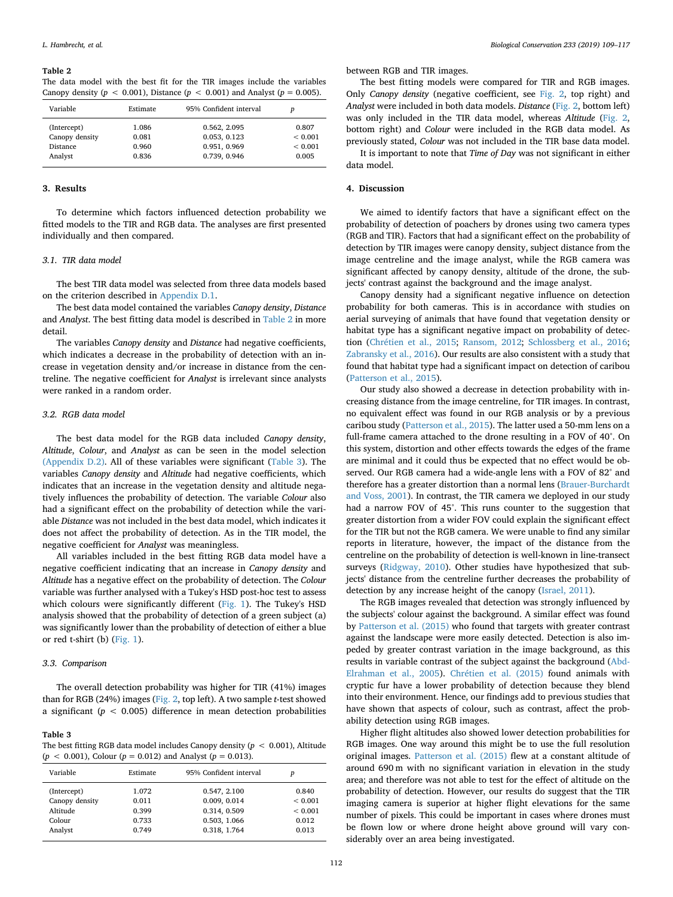#### <span id="page-3-0"></span>**Table 2**

The data model with the best fit for the TIR images include the variables Canopy density  $(p < 0.001)$ , Distance  $(p < 0.001)$  and Analyst  $(p = 0.005)$ .

| Variable        | Estimate | 95% Confident interval | D            |
|-----------------|----------|------------------------|--------------|
| (Intercept)     | 1.086    | 0.562, 2.095           | 0.807        |
| Canopy density  | 0.081    | 0.053, 0.123           | ${}_{0.001}$ |
| <b>Distance</b> | 0.960    | 0.951, 0.969           | ${}< 0.001$  |
| Analyst         | 0.836    | 0.739, 0.946           | 0.005        |

# **3. Results**

To determine which factors influenced detection probability we fitted models to the TIR and RGB data. The analyses are first presented individually and then compared.

# *3.1. TIR data model*

The best TIR data model was selected from three data models based on the criterion described in [Appendix D.1](#page-7-33).

The best data model contained the variables *Canopy density*, *Distance* and *Analyst*. The best fitting data model is described in [Table 2](#page-3-0) in more detail.

The variables *Canopy density* and *Distance* had negative coefficients, which indicates a decrease in the probability of detection with an increase in vegetation density and/or increase in distance from the centreline. The negative coefficient for *Analyst* is irrelevant since analysts were ranked in a random order.

## *3.2. RGB data model*

The best data model for the RGB data included *Canopy density*, *Altitude*, *Colour*, and *Analyst* as can be seen in the model selection [\(Appendix D.2\).](#page-7-34) All of these variables were significant [\(Table 3](#page-3-1)). The variables *Canopy density* and *Altitude* had negative coefficients, which indicates that an increase in the vegetation density and altitude negatively influences the probability of detection. The variable *Colour* also had a significant effect on the probability of detection while the variable *Distance* was not included in the best data model, which indicates it does not affect the probability of detection. As in the TIR model, the negative coefficient for *Analyst* was meaningless.

All variables included in the best fitting RGB data model have a negative coefficient indicating that an increase in *Canopy density* and *Altitude* has a negative effect on the probability of detection. The *Colour* variable was further analysed with a Tukey's HSD post-hoc test to assess which colours were significantly different [\(Fig. 1\)](#page-4-0). The Tukey's HSD analysis showed that the probability of detection of a green subject (a) was significantly lower than the probability of detection of either a blue or red t-shirt (b) ([Fig. 1](#page-4-0)).

#### *3.3. Comparison*

The overall detection probability was higher for TIR (41%) images than for RGB (24%) images ([Fig. 2](#page-4-1), top left). A two sample *t*-test showed a significant ( $p < 0.005$ ) difference in mean detection probabilities

#### <span id="page-3-1"></span>**Table 3**

The best fitting RGB data model includes Canopy density (*p* < 0.001), Altitude  $(p < 0.001)$ , Colour  $(p = 0.012)$  and Analyst  $(p = 0.013)$ .

| Variable       | Estimate | 95% Confident interval | D           |
|----------------|----------|------------------------|-------------|
| (Intercept)    | 1.072    | 0.547, 2.100           | 0.840       |
| Canopy density | 0.011    | 0.009, 0.014           | ${}< 0.001$ |
| Altitude       | 0.399    | 0.314, 0.509           | ${}< 0.001$ |
| Colour         | 0.733    | 0.503, 1.066           | 0.012       |
| Analyst        | 0.749    | 0.318, 1.764           | 0.013       |

between RGB and TIR images.

The best fitting models were compared for TIR and RGB images. Only *Canopy density* (negative coefficient, see [Fig. 2](#page-4-1), top right) and *Analyst* were included in both data models. *Distance* ([Fig. 2,](#page-4-1) bottom left) was only included in the TIR data model, whereas *Altitude* ([Fig. 2](#page-4-1), bottom right) and *Colour* were included in the RGB data model. As previously stated, *Colour* was not included in the TIR base data model.

It is important to note that *Time of Day* was not significant in either data model.

# **4. Discussion**

We aimed to identify factors that have a significant effect on the probability of detection of poachers by drones using two camera types (RGB and TIR). Factors that had a significant effect on the probability of detection by TIR images were canopy density, subject distance from the image centreline and the image analyst, while the RGB camera was significant affected by canopy density, altitude of the drone, the subjects' contrast against the background and the image analyst.

Canopy density had a significant negative influence on detection probability for both cameras. This is in accordance with studies on aerial surveying of animals that have found that vegetation density or habitat type has a significant negative impact on probability of detection [\(Chrétien et al., 2015;](#page-7-14) [Ransom, 2012;](#page-8-9) [Schlossberg et al., 2016](#page-8-10); [Zabransky et al., 2016](#page-8-11)). Our results are also consistent with a study that found that habitat type had a significant impact on detection of caribou ([Patterson et al., 2015](#page-8-8)).

Our study also showed a decrease in detection probability with increasing distance from the image centreline, for TIR images. In contrast, no equivalent effect was found in our RGB analysis or by a previous caribou study [\(Patterson et al., 2015](#page-8-8)). The latter used a 50-mm lens on a full-frame camera attached to the drone resulting in a FOV of 40°. On this system, distortion and other effects towards the edges of the frame are minimal and it could thus be expected that no effect would be observed. Our RGB camera had a wide-angle lens with a FOV of 82° and therefore has a greater distortion than a normal lens [\(Brauer-Burchardt](#page-7-35) [and Voss, 2001\)](#page-7-35). In contrast, the TIR camera we deployed in our study had a narrow FOV of 45°. This runs counter to the suggestion that greater distortion from a wider FOV could explain the significant effect for the TIR but not the RGB camera. We were unable to find any similar reports in literature, however, the impact of the distance from the centreline on the probability of detection is well-known in line-transect surveys ([Ridgway, 2010](#page-8-30)). Other studies have hypothesized that subjects' distance from the centreline further decreases the probability of detection by any increase height of the canopy ([Israel, 2011\)](#page-7-36).

The RGB images revealed that detection was strongly influenced by the subjects' colour against the background. A similar effect was found by [Patterson et al. \(2015\)](#page-8-8) who found that targets with greater contrast against the landscape were more easily detected. Detection is also impeded by greater contrast variation in the image background, as this results in variable contrast of the subject against the background ([Abd-](#page-7-37)[Elrahman et al., 2005](#page-7-37)). [Chrétien et al. \(2015\)](#page-7-14) found animals with cryptic fur have a lower probability of detection because they blend into their environment. Hence, our findings add to previous studies that have shown that aspects of colour, such as contrast, affect the probability detection using RGB images.

Higher flight altitudes also showed lower detection probabilities for RGB images. One way around this might be to use the full resolution original images. [Patterson et al. \(2015\)](#page-8-8) flew at a constant altitude of around 690 m with no significant variation in elevation in the study area; and therefore was not able to test for the effect of altitude on the probability of detection. However, our results do suggest that the TIR imaging camera is superior at higher flight elevations for the same number of pixels. This could be important in cases where drones must be flown low or where drone height above ground will vary considerably over an area being investigated.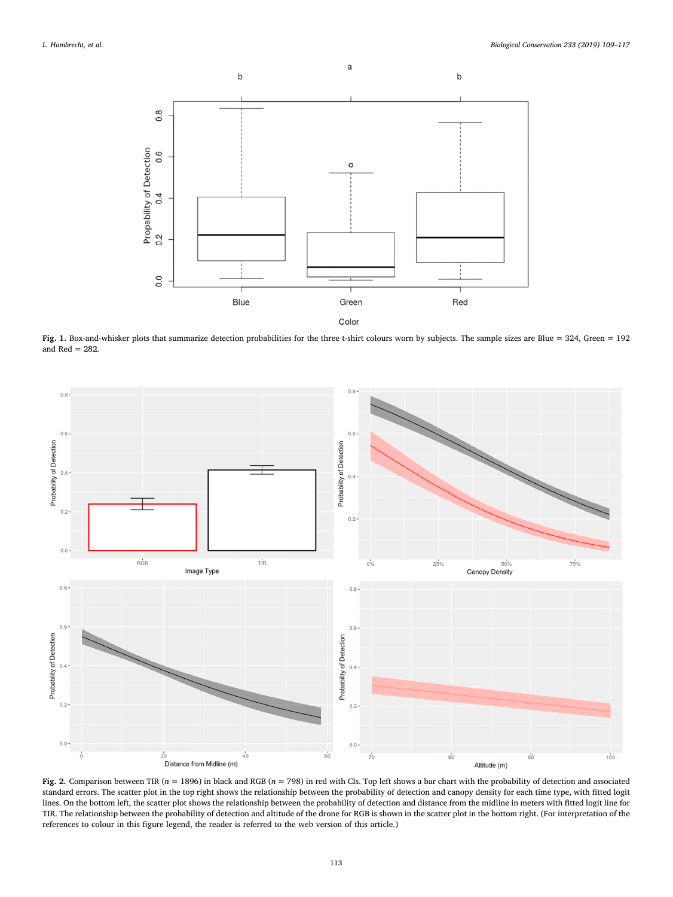<span id="page-4-0"></span>

**Fig. 1.** Box-and-whisker plots that summarize detection probabilities for the three t-shirt colours worn by subjects. The sample sizes are Blue = 324, Green = 192 and  $Red = 282$ .

<span id="page-4-1"></span>

**Fig. 2.** Comparison between TIR (*n* = 1896) in black and RGB (*n* = 798) in red with CIs. Top left shows a bar chart with the probability of detection and associated standard errors. The scatter plot in the top right shows the relationship between the probability of detection and canopy density for each time type, with fitted logit lines. On the bottom left, the scatter plot shows the relationship between the probability of detection and distance from the midline in meters with fitted logit line for TIR. The relationship between the probability of detection and altitude of the drone for RGB is shown in the scatter plot in the bottom right. (For interpretation of the references to colour in this figure legend, the reader is referred to the web version of this article.)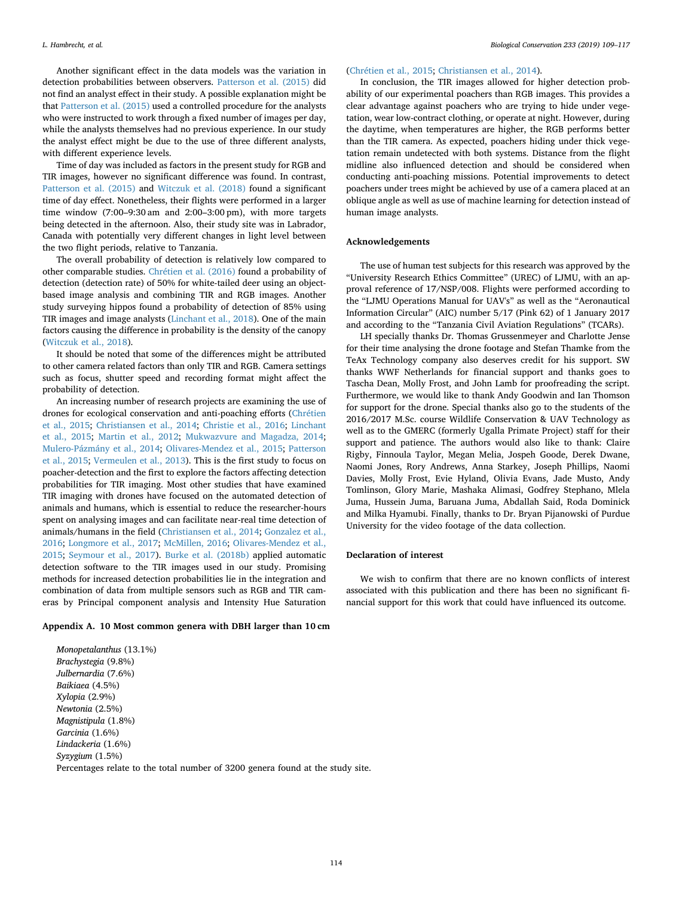Another significant effect in the data models was the variation in detection probabilities between observers. [Patterson et al. \(2015\)](#page-8-8) did not find an analyst effect in their study. A possible explanation might be that [Patterson et al. \(2015\)](#page-8-8) used a controlled procedure for the analysts who were instructed to work through a fixed number of images per day, while the analysts themselves had no previous experience. In our study the analyst effect might be due to the use of three different analysts, with different experience levels.

Time of day was included as factors in the present study for RGB and TIR images, however no significant difference was found. In contrast, [Patterson et al. \(2015\)](#page-8-8) and [Witczuk et al. \(2018\)](#page-8-31) found a significant time of day effect. Nonetheless, their flights were performed in a larger time window (7:00–9:30 am and 2:00–3:00 pm), with more targets being detected in the afternoon. Also, their study site was in Labrador, Canada with potentially very different changes in light level between the two flight periods, relative to Tanzania.

The overall probability of detection is relatively low compared to other comparable studies. [Chrétien et al. \(2016\)](#page-7-15) found a probability of detection (detection rate) of 50% for white-tailed deer using an objectbased image analysis and combining TIR and RGB images. Another study surveying hippos found a probability of detection of 85% using TIR images and image analysts ([Linchant et al., 2018](#page-7-38)). One of the main factors causing the difference in probability is the density of the canopy ([Witczuk et al., 2018\)](#page-8-31).

It should be noted that some of the differences might be attributed to other camera related factors than only TIR and RGB. Camera settings such as focus, shutter speed and recording format might affect the probability of detection.

An increasing number of research projects are examining the use of drones for ecological conservation and anti-poaching efforts ([Chrétien](#page-7-14) [et al., 2015;](#page-7-14) [Christiansen et al., 2014](#page-7-16); [Christie et al., 2016](#page-7-39); [Linchant](#page-7-8) [et al., 2015;](#page-7-8) [Martin et al., 2012](#page-8-32); [Mukwazvure and Magadza, 2014](#page-8-2); [Mulero-Pázmány et al., 2014;](#page-8-4) [Olivares-Mendez et al., 2015](#page-8-7); [Patterson](#page-8-8) [et al., 2015](#page-8-8); [Vermeulen et al., 2013](#page-8-33)). This is the first study to focus on poacher-detection and the first to explore the factors affecting detection probabilities for TIR imaging. Most other studies that have examined TIR imaging with drones have focused on the automated detection of animals and humans, which is essential to reduce the researcher-hours spent on analysing images and can facilitate near-real time detection of animals/humans in the field [\(Christiansen et al., 2014;](#page-7-16) [Gonzalez et al.,](#page-7-26) [2016;](#page-7-26) [Longmore et al., 2017](#page-7-18); [McMillen, 2016](#page-8-34); [Olivares-Mendez et al.,](#page-8-7) [2015;](#page-8-7) [Seymour et al., 2017\)](#page-8-14). [Burke et al. \(2018b\)](#page-7-40) applied automatic detection software to the TIR images used in our study. Promising methods for increased detection probabilities lie in the integration and combination of data from multiple sensors such as RGB and TIR cameras by Principal component analysis and Intensity Hue Saturation

#### <span id="page-5-0"></span>**Appendix A. 10 Most common genera with DBH larger than 10 cm**

*Monopetalanthus* (13.1%) *Brachystegia* (9.8%) *Julbernardia* (7.6%) *Baikiaea* (4.5%) *Xylopia* (2.9%) *Newtonia* (2.5%) *Magnistipula* (1.8%) *Garcinia* (1.6%) *Lindackeria* (1.6%) *Syzygium* (1.5%) Percentages relate to the total number of 3200 genera found at the study site.

### ([Chrétien et al., 2015](#page-7-14); [Christiansen et al., 2014](#page-7-16)).

In conclusion, the TIR images allowed for higher detection probability of our experimental poachers than RGB images. This provides a clear advantage against poachers who are trying to hide under vegetation, wear low-contract clothing, or operate at night. However, during the daytime, when temperatures are higher, the RGB performs better than the TIR camera. As expected, poachers hiding under thick vegetation remain undetected with both systems. Distance from the flight midline also influenced detection and should be considered when conducting anti-poaching missions. Potential improvements to detect poachers under trees might be achieved by use of a camera placed at an oblique angle as well as use of machine learning for detection instead of human image analysts.

# **Acknowledgements**

The use of human test subjects for this research was approved by the "University Research Ethics Committee" (UREC) of LJMU, with an approval reference of 17/NSP/008. Flights were performed according to the "LJMU Operations Manual for UAV's" as well as the "Aeronautical Information Circular" (AIC) number 5/17 (Pink 62) of 1 January 2017 and according to the "Tanzania Civil Aviation Regulations" (TCARs).

LH specially thanks Dr. Thomas Grussenmeyer and Charlotte Jense for their time analysing the drone footage and Stefan Thamke from the TeAx Technology company also deserves credit for his support. SW thanks WWF Netherlands for financial support and thanks goes to Tascha Dean, Molly Frost, and John Lamb for proofreading the script. Furthermore, we would like to thank Andy Goodwin and Ian Thomson for support for the drone. Special thanks also go to the students of the 2016/2017 M.Sc. course Wildlife Conservation & UAV Technology as well as to the GMERC (formerly Ugalla Primate Project) staff for their support and patience. The authors would also like to thank: Claire Rigby, Finnoula Taylor, Megan Melia, Jospeh Goode, Derek Dwane, Naomi Jones, Rory Andrews, Anna Starkey, Joseph Phillips, Naomi Davies, Molly Frost, Evie Hyland, Olivia Evans, Jade Musto, Andy Tomlinson, Glory Marie, Mashaka Alimasi, Godfrey Stephano, Mlela Juma, Hussein Juma, Baruana Juma, Abdallah Said, Roda Dominick and Milka Hyamubi. Finally, thanks to Dr. Bryan Pijanowski of Purdue University for the video footage of the data collection.

#### **Declaration of interest**

We wish to confirm that there are no known conflicts of interest associated with this publication and there has been no significant financial support for this work that could have influenced its outcome.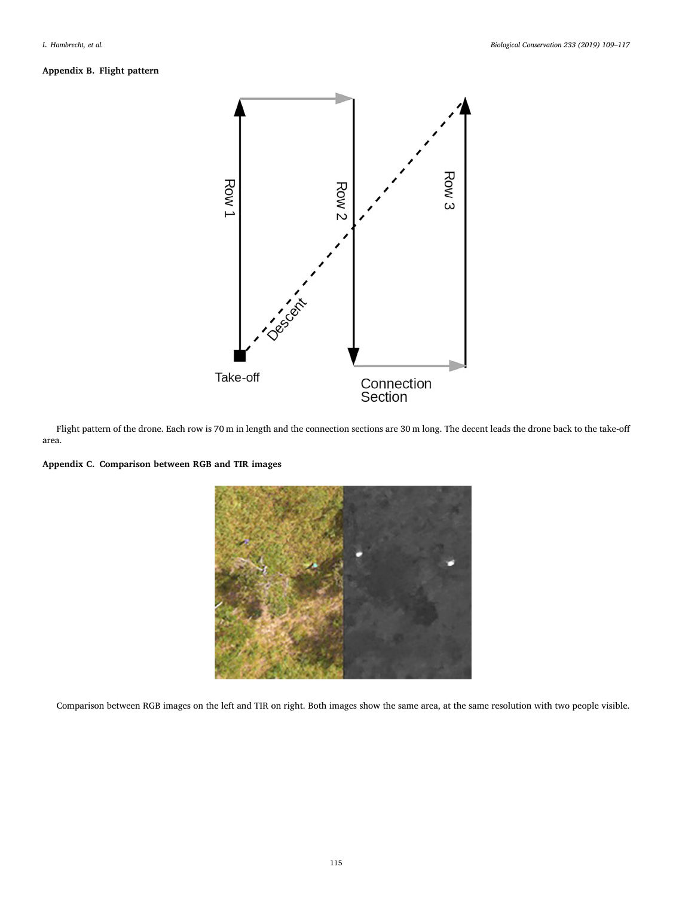<span id="page-6-0"></span>

Flight pattern of the drone. Each row is 70 m in length and the connection sections are 30 m long. The decent leads the drone back to the take-off area.

<span id="page-6-1"></span>



Comparison between RGB images on the left and TIR on right. Both images show the same area, at the same resolution with two people visible.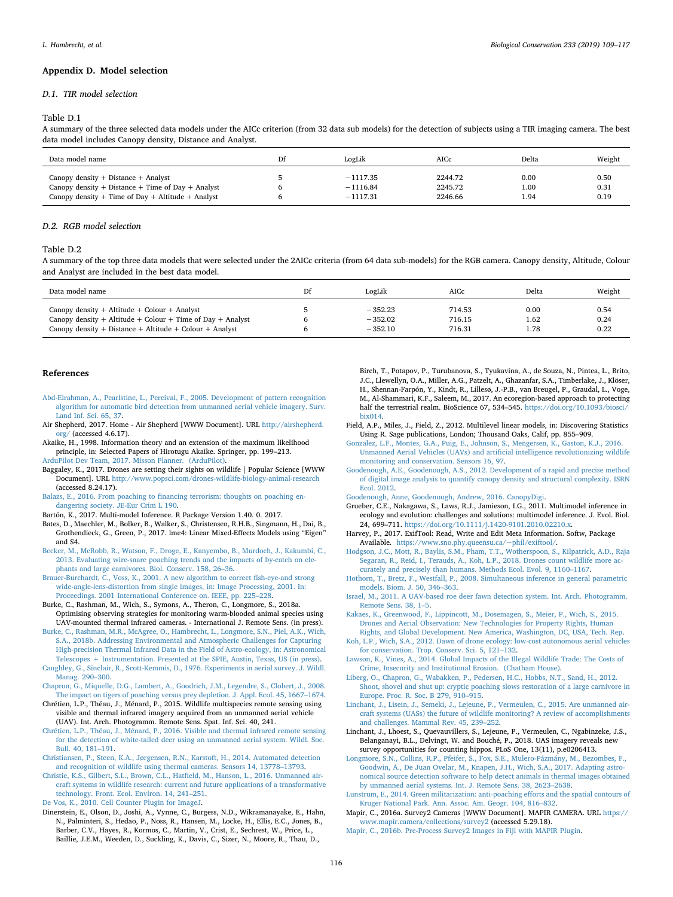#### **Appendix D. Model selection**

#### <span id="page-7-33"></span>*D.1. TIR model selection*

#### Table D.1

A summary of the three selected data models under the AICc criterion (from 32 data sub models) for the detection of subjects using a TIR imaging camera. The best data model includes Canopy density, Distance and Analyst.

| Data model name                                         | Df | LogLik     | AICc    | Delta | Weight |
|---------------------------------------------------------|----|------------|---------|-------|--------|
| Canopy density $+$ Distance $+$ Analyst                 |    | $-1117.35$ | 2244.72 | 0.00  | 0.50   |
| Canopy density + Distance + Time of Day + Analyst       |    | $-1116.84$ | 2245.72 | 1.00  | 0.31   |
| Canopy density $+$ Time of Day $+$ Altitude $+$ Analyst |    | $-1117.31$ | 2246.66 | 1.94  | 0.19   |

# <span id="page-7-34"></span>*D.2. RGB model selection*

#### Table D.2

A summary of the top three data models that were selected under the 2AICc criteria (from 64 data sub-models) for the RGB camera. Canopy density, Altitude, Colour and Analyst are included in the best data model.

| Data model name                                            | Df | LogLik    | AICc   | Delta | Weight |
|------------------------------------------------------------|----|-----------|--------|-------|--------|
| Canopy density $+$ Altitude $+$ Colour $+$ Analyst         |    | $-352.23$ | 714.53 | 0.00  | 0.54   |
| Canopy density + Altitude + Colour + Time of Day + Analyst |    | $-352.02$ | 716.15 | 1.62  | 0.24   |
| Canopy density + Distance + Altitude + Colour + Analyst    |    | $-352.10$ | 716.31 | 1.78  | 0.22   |

# **References**

- <span id="page-7-37"></span>[Abd-Elrahman, A., Pearlstine, L., Percival, F., 2005. Development of pattern recognition](http://refhub.elsevier.com/S0006-3207(18)31572-6/rf0005) [algorithm for automatic bird detection from unmanned aerial vehicle imagery. Surv.](http://refhub.elsevier.com/S0006-3207(18)31572-6/rf0005) [Land Inf. Sci. 65, 37.](http://refhub.elsevier.com/S0006-3207(18)31572-6/rf0005)
- <span id="page-7-9"></span>Air Shepherd, 2017. Home - Air Shepherd [WWW Document]. URL [http://airshepherd.](http://airshepherd.org/) [org/](http://airshepherd.org/) (accessed 4.6.17).
- <span id="page-7-31"></span>Akaike, H., 1998. Information theory and an extension of the maximum likelihood principle, in: Selected Papers of Hirotugu Akaike. Springer, pp. 199–213.
- <span id="page-7-20"></span>[ArduPilot Dev Team, 2017. Misson Planner. \(ArduPilot\)](http://refhub.elsevier.com/S0006-3207(18)31572-6/rf0010).
- <span id="page-7-10"></span>Baggaley, K., 2017. Drones are setting their sights on wildlife | Popular Science [WWW Document]. URL <http://www.popsci.com/drones-wildlife-biology-animal-research> (accessed 8.24.17).
- <span id="page-7-1"></span>[Balazs, E., 2016. From poaching to financing terrorism: thoughts on poaching en](http://refhub.elsevier.com/S0006-3207(18)31572-6/rf0015)[dangering society. JE-Eur Crim L 190.](http://refhub.elsevier.com/S0006-3207(18)31572-6/rf0015)
- <span id="page-7-30"></span>Bartón, K., 2017. Multi-model Inference. R Package Version 1.40. 0. 2017.

<span id="page-7-27"></span>Bates, D., Maechler, M., Bolker, B., Walker, S., Christensen, R.H.B., Singmann, H., Dai, B., Grothendieck, G., Green, P., 2017. lme4: Linear Mixed-Effects Models using "Eigen" and S4.

- <span id="page-7-2"></span>[Becker, M., McRobb, R., Watson, F., Droge, E., Kanyembo, B., Murdoch, J., Kakumbi, C.,](http://refhub.elsevier.com/S0006-3207(18)31572-6/rf0020) [2013. Evaluating wire-snare poaching trends and the impacts of by-catch on ele](http://refhub.elsevier.com/S0006-3207(18)31572-6/rf0020)[phants and large carnivores. Biol. Conserv. 158, 26–36](http://refhub.elsevier.com/S0006-3207(18)31572-6/rf0020).
- <span id="page-7-35"></span>[Brauer-Burchardt, C., Voss, K., 2001. A new algorithm to correct fish-eye-and strong](http://refhub.elsevier.com/S0006-3207(18)31572-6/rf0025) [wide-angle-lens-distortion from single images, in: Image Processing, 2001. In:](http://refhub.elsevier.com/S0006-3207(18)31572-6/rf0025) [Proceedings. 2001 International Conference on. IEEE, pp. 225–228](http://refhub.elsevier.com/S0006-3207(18)31572-6/rf0025).
- <span id="page-7-17"></span>Burke, C., Rashman, M., Wich, S., Symons, A., Theron, C., Longmore, S., 2018a. Optimising observing strategies for monitoring warm-blooded animal species using UAV-mounted thermal infrared cameras. - International J. Remote Sens. (in press).
- <span id="page-7-40"></span>[Burke, C., Rashman, M.R., McAgree, O., Hambrecht, L., Longmore, S.N., Piel, A.K., Wich,](http://refhub.elsevier.com/S0006-3207(18)31572-6/rf0030) [S.A., 2018b. Addressing Environmental and Atmospheric Challenges for Capturing](http://refhub.elsevier.com/S0006-3207(18)31572-6/rf0030) [High-precision Thermal Infrared Data in the Field of Astro-ecology, in: Astronomical](http://refhub.elsevier.com/S0006-3207(18)31572-6/rf0030) [Telescopes + Instrumentation. Presented at the SPIE, Austin, Texas, US \(in press\)](http://refhub.elsevier.com/S0006-3207(18)31572-6/rf0030).
- <span id="page-7-13"></span>[Caughley, G., Sinclair, R., Scott-Kemmis, D., 1976. Experiments in aerial survey. J. Wildl.](http://refhub.elsevier.com/S0006-3207(18)31572-6/rf0035) [Manag. 290–300](http://refhub.elsevier.com/S0006-3207(18)31572-6/rf0035).
- <span id="page-7-3"></span>[Chapron, G., Miquelle, D.G., Lambert, A., Goodrich, J.M., Legendre, S., Clobert, J., 2008.](http://refhub.elsevier.com/S0006-3207(18)31572-6/rf0040) [The impact on tigers of poaching versus prey depletion. J. Appl. Ecol. 45, 1667–1674.](http://refhub.elsevier.com/S0006-3207(18)31572-6/rf0040)
- <span id="page-7-14"></span>Chrétien, L.P., Théau, J., Ménard, P., 2015. Wildlife multispecies remote sensing using visible and thermal infrared imagery acquired from an unmanned aerial vehicle (UAV). Int. Arch. Photogramm. Remote Sens. Spat. Inf. Sci. 40, 241.
- <span id="page-7-15"></span>[Chrétien, L.P., Théau, J., Ménard, P., 2016. Visible and thermal infrared remote sensing](http://refhub.elsevier.com/S0006-3207(18)31572-6/rf0045) [for the detection of white-tailed deer using an unmanned aerial system. Wildl. Soc.](http://refhub.elsevier.com/S0006-3207(18)31572-6/rf0045) [Bull. 40, 181–191.](http://refhub.elsevier.com/S0006-3207(18)31572-6/rf0045)
- <span id="page-7-16"></span>[Christiansen, P., Steen, K.A., Jørgensen, R.N., Karstoft, H., 2014. Automated detection](http://refhub.elsevier.com/S0006-3207(18)31572-6/rf0050) [and recognition of wildlife using thermal cameras. Sensors 14, 13778–13793](http://refhub.elsevier.com/S0006-3207(18)31572-6/rf0050).

<span id="page-7-39"></span>[Christie, K.S., Gilbert, S.L., Brown, C.L., Hatfield, M., Hanson, L., 2016. Unmanned air](http://refhub.elsevier.com/S0006-3207(18)31572-6/rf0055)[craft systems in wildlife research: current and future applications of a transformative](http://refhub.elsevier.com/S0006-3207(18)31572-6/rf0055) [technology. Front. Ecol. Environ. 14, 241–251.](http://refhub.elsevier.com/S0006-3207(18)31572-6/rf0055)

<span id="page-7-25"></span>[De Vos, K., 2010. Cell Counter Plugin for ImageJ.](http://refhub.elsevier.com/S0006-3207(18)31572-6/rf0060)

<span id="page-7-5"></span>Dinerstein, E., Olson, D., Joshi, A., Vynne, C., Burgess, N.D., Wikramanayake, E., Hahn, N., Palminteri, S., Hedao, P., Noss, R., Hansen, M., Locke, H., Ellis, E.C., Jones, B., Barber, C.V., Hayes, R., Kormos, C., Martin, V., Crist, E., Sechrest, W., Price, L., Baillie, J.E.M., Weeden, D., Suckling, K., Davis, C., Sizer, N., Moore, R., Thau, D.,

Birch, T., Potapov, P., Turubanova, S., Tyukavina, A., de Souza, N., Pintea, L., Brito, J.C., Llewellyn, O.A., Miller, A.G., Patzelt, A., Ghazanfar, S.A., Timberlake, J., Klöser, H., Shennan-Farpón, Y., Kindt, R., Lillesø, J.-P.B., van Breugel, P., Graudal, L., Voge, M., Al-Shammari, K.F., Saleem, M., 2017. An ecoregion-based approach to protecting half the terrestrial realm. BioScience 67, 534–545. [https://doi.org/10.1093/biosci/](https://doi.org/10.1093/biosci/bix014) [bix014](https://doi.org/10.1093/biosci/bix014).

- <span id="page-7-28"></span>Field, A.P., Miles, J., Field, Z., 2012. Multilevel linear models, in: Discovering Statistics Using R. Sage publications, London; Thousand Oaks, Calif, pp. 855–909.
- <span id="page-7-26"></span>[Gonzalez, L.F., Montes, G.A., Puig, E., Johnson, S., Mengersen, K., Gaston, K.J., 2016.](http://refhub.elsevier.com/S0006-3207(18)31572-6/rf0070) [Unmanned Aerial Vehicles \(UAVs\) and artificial intelligence revolutionizing wildlife](http://refhub.elsevier.com/S0006-3207(18)31572-6/rf0070) [monitoring and conservation. Sensors 16, 97](http://refhub.elsevier.com/S0006-3207(18)31572-6/rf0070).
- <span id="page-7-22"></span>[Goodenough, A.E., Goodenough, A.S., 2012. Development of a rapid and precise method](http://refhub.elsevier.com/S0006-3207(18)31572-6/rf0075) [of digital image analysis to quantify canopy density and structural complexity. ISRN](http://refhub.elsevier.com/S0006-3207(18)31572-6/rf0075) [Ecol. 2012.](http://refhub.elsevier.com/S0006-3207(18)31572-6/rf0075)
- <span id="page-7-21"></span>[Goodenough, Anne, Goodenough, Andrew, 2016. CanopyDigi.](http://refhub.elsevier.com/S0006-3207(18)31572-6/rf0080)
- <span id="page-7-29"></span>Grueber, C.E., Nakagawa, S., Laws, R.J., Jamieson, I.G., 2011. Multimodel inference in ecology and evolution: challenges and solutions: multimodel inference. J. Evol. Biol. 24, 699-711. <https://doi.org/10.1111/j.1420-9101.2010.02210.x>.
- <span id="page-7-24"></span>Harvey, P., 2017. ExifTool: Read, Write and Edit Meta Information. Softw, Package Available. <https://www.sno.phy.queensu.ca/~phil/exiftool/>.
- <span id="page-7-12"></span>[Hodgson, J.C., Mott, R., Baylis, S.M., Pham, T.T., Wotherspoon, S., Kilpatrick, A.D., Raja](http://refhub.elsevier.com/S0006-3207(18)31572-6/rf0095) [Segaran, R., Reid, I., Terauds, A., Koh, L.P., 2018. Drones count wildlife more ac](http://refhub.elsevier.com/S0006-3207(18)31572-6/rf0095)[curately and precisely than humans. Methods Ecol. Evol. 9, 1160–1167](http://refhub.elsevier.com/S0006-3207(18)31572-6/rf0095).
- <span id="page-7-32"></span>[Hothorn, T., Bretz, F., Westfall, P., 2008. Simultaneous inference in general parametric](http://refhub.elsevier.com/S0006-3207(18)31572-6/rf0100) [models. Biom. J. 50, 346–363.](http://refhub.elsevier.com/S0006-3207(18)31572-6/rf0100)
- <span id="page-7-36"></span>[Israel, M., 2011. A UAV-based roe deer fawn detection system. Int. Arch. Photogramm.](http://refhub.elsevier.com/S0006-3207(18)31572-6/rf0105) [Remote Sens. 38, 1–5](http://refhub.elsevier.com/S0006-3207(18)31572-6/rf0105).
- <span id="page-7-11"></span>[Kakaes, K., Greenwood, F., Lippincott, M., Dosemagen, S., Meier, P., Wich, S., 2015.](http://refhub.elsevier.com/S0006-3207(18)31572-6/rf0110) [Drones and Aerial Observation: New Technologies for Property Rights, Human](http://refhub.elsevier.com/S0006-3207(18)31572-6/rf0110) [Rights, and Global Development. New America, Washington, DC, USA, Tech. Rep](http://refhub.elsevier.com/S0006-3207(18)31572-6/rf0110).
- <span id="page-7-7"></span>[Koh, L.P., Wich, S.A., 2012. Dawn of drone ecology: low-cost autonomous aerial vehicles](http://refhub.elsevier.com/S0006-3207(18)31572-6/rf0115) [for conservation. Trop. Conserv. Sci. 5, 121–132.](http://refhub.elsevier.com/S0006-3207(18)31572-6/rf0115)
- <span id="page-7-0"></span>[Lawson, K., Vines, A., 2014. Global Impacts of the Illegal Wildlife Trade: The Costs of](http://refhub.elsevier.com/S0006-3207(18)31572-6/rf0120) [Crime, Insecurity and Institutional Erosion. \(Chatham House\).](http://refhub.elsevier.com/S0006-3207(18)31572-6/rf0120)
- <span id="page-7-4"></span>[Liberg, O., Chapron, G., Wabakken, P., Pedersen, H.C., Hobbs, N.T., Sand, H., 2012.](http://refhub.elsevier.com/S0006-3207(18)31572-6/rf0125) [Shoot, shovel and shut up: cryptic poaching slows restoration of a large carnivore in](http://refhub.elsevier.com/S0006-3207(18)31572-6/rf0125) [Europe. Proc. R. Soc. B 279, 910–915](http://refhub.elsevier.com/S0006-3207(18)31572-6/rf0125).
- <span id="page-7-8"></span>[Linchant, J., Lisein, J., Semeki, J., Lejeune, P., Vermeulen, C., 2015. Are unmanned air](http://refhub.elsevier.com/S0006-3207(18)31572-6/rf0130)[craft systems \(UASs\) the future of wildlife monitoring? A review of accomplishments](http://refhub.elsevier.com/S0006-3207(18)31572-6/rf0130) [and challenges. Mammal Rev. 45, 239–252.](http://refhub.elsevier.com/S0006-3207(18)31572-6/rf0130)
- <span id="page-7-38"></span>Linchant, J., Lhoest, S., Quevauvillers, S., Lejeune, P., Vermeulen, C., Ngabinzeke, J.S., Belanganayi, B.L., Delvingt, W. and Bouché, P., 2018. UAS imagery reveals new survey opportunities for counting hippos. PLoS One, 13(11), p.e0206413.
- <span id="page-7-18"></span>[Longmore, S.N., Collins, R.P., Pfeifer, S., Fox, S.E., Mulero-Pázmány, M., Bezombes, F.,](http://refhub.elsevier.com/S0006-3207(18)31572-6/rf0135) [Goodwin, A., De Juan Ovelar, M., Knapen, J.H., Wich, S.A., 2017. Adapting astro](http://refhub.elsevier.com/S0006-3207(18)31572-6/rf0135)[nomical source detection software to help detect animals in thermal images obtained](http://refhub.elsevier.com/S0006-3207(18)31572-6/rf0135) [by unmanned aerial systems. Int. J. Remote Sens. 38, 2623–2638](http://refhub.elsevier.com/S0006-3207(18)31572-6/rf0135).
- <span id="page-7-6"></span>[Lunstrum, E., 2014. Green militarization: anti-poaching efforts and the spatial contours of](http://refhub.elsevier.com/S0006-3207(18)31572-6/rf0140) [Kruger National Park. Ann. Assoc. Am. Geogr. 104, 816–832.](http://refhub.elsevier.com/S0006-3207(18)31572-6/rf0140)

<span id="page-7-19"></span>Mapir, C., 2016a. Survey2 Cameras [WWW Document]. MAPIR CAMERA. URL [https://](https://www.mapir.camera/collections/survey2) [www.mapir.camera/collections/survey2](https://www.mapir.camera/collections/survey2) (accessed 5.29.18).

<span id="page-7-23"></span>[Mapir, C., 2016b. Pre-Process Survey2 Images in Fiji with MAPIR Plugin.](http://refhub.elsevier.com/S0006-3207(18)31572-6/rf0145)